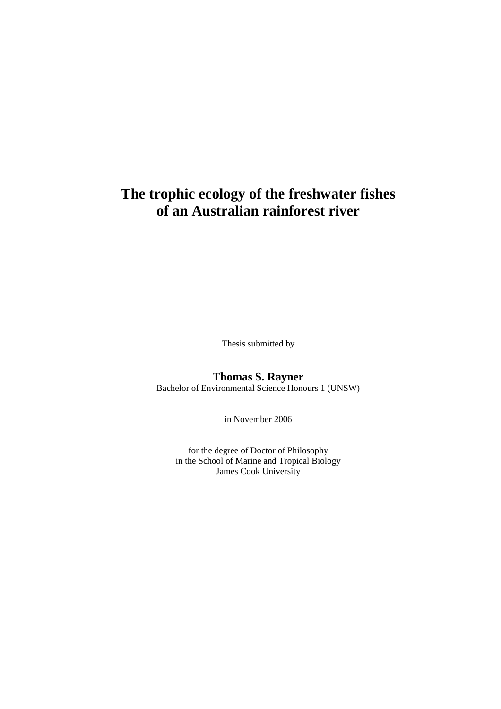# **The trophic ecology of the freshwater fishes of an Australian rainforest river**

Thesis submitted by

#### **Thomas S. Rayner**  Bachelor of Environmental Science Honours 1 (UNSW)

in November 2006

for the degree of Doctor of Philosophy in the School of Marine and Tropical Biology James Cook University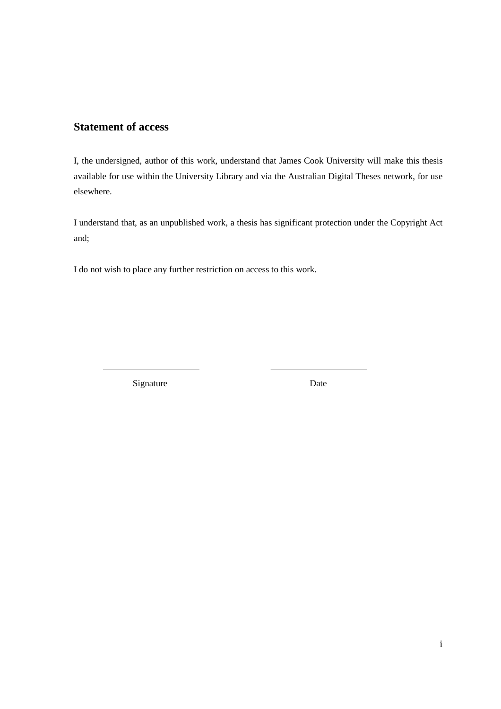#### **Statement of access**

I, the undersigned, author of this work, understand that James Cook University will make this thesis available for use within the University Library and via the Australian Digital Theses network, for use elsewhere.

I understand that, as an unpublished work, a thesis has significant protection under the Copyright Act and;

I do not wish to place any further restriction on access to this work.

Signature Date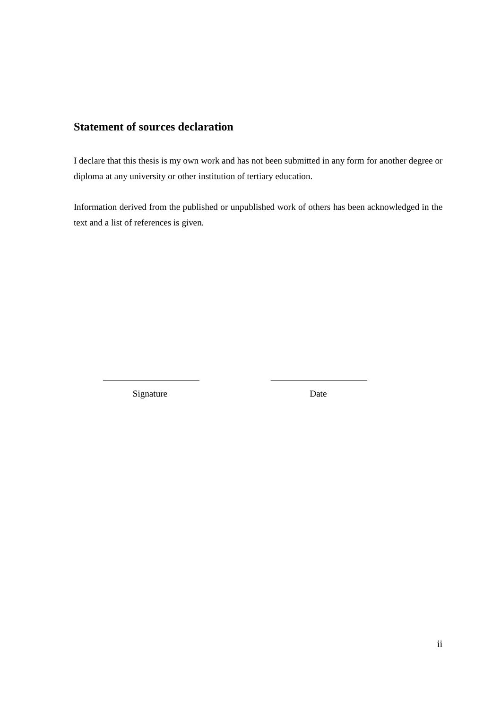### **Statement of sources declaration**

I declare that this thesis is my own work and has not been submitted in any form for another degree or diploma at any university or other institution of tertiary education.

Information derived from the published or unpublished work of others has been acknowledged in the text and a list of references is given.

Signature Date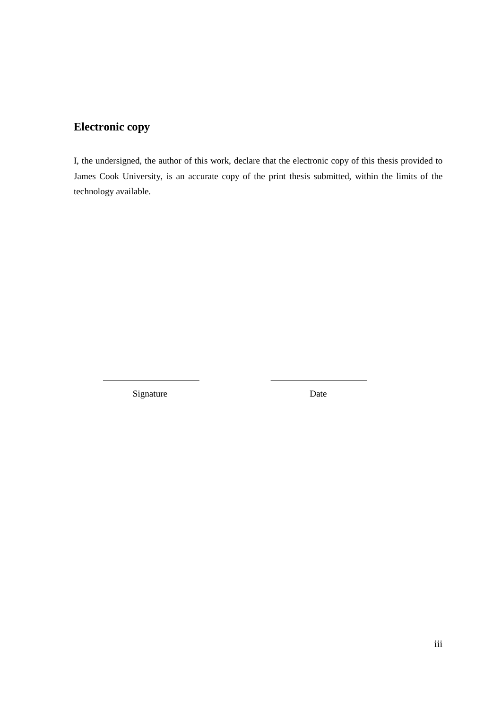## **Electronic copy**

I, the undersigned, the author of this work, declare that the electronic copy of this thesis provided to James Cook University, is an accurate copy of the print thesis submitted, within the limits of the technology available.

Signature Date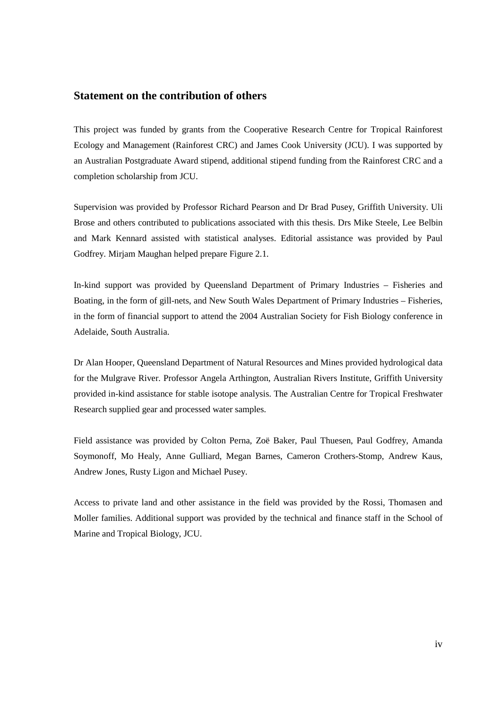#### **Statement on the contribution of others**

This project was funded by grants from the Cooperative Research Centre for Tropical Rainforest Ecology and Management (Rainforest CRC) and James Cook University (JCU). I was supported by an Australian Postgraduate Award stipend, additional stipend funding from the Rainforest CRC and a completion scholarship from JCU.

Supervision was provided by Professor Richard Pearson and Dr Brad Pusey, Griffith University. Uli Brose and others contributed to publications associated with this thesis. Drs Mike Steele, Lee Belbin and Mark Kennard assisted with statistical analyses. Editorial assistance was provided by Paul Godfrey. Mirjam Maughan helped prepare Figure 2.1.

In-kind support was provided by Queensland Department of Primary Industries – Fisheries and Boating, in the form of gill-nets, and New South Wales Department of Primary Industries – Fisheries, in the form of financial support to attend the 2004 Australian Society for Fish Biology conference in Adelaide, South Australia.

Dr Alan Hooper, Queensland Department of Natural Resources and Mines provided hydrological data for the Mulgrave River. Professor Angela Arthington, Australian Rivers Institute, Griffith University provided in-kind assistance for stable isotope analysis. The Australian Centre for Tropical Freshwater Research supplied gear and processed water samples.

Field assistance was provided by Colton Perna, Zoë Baker, Paul Thuesen, Paul Godfrey, Amanda Soymonoff, Mo Healy, Anne Gulliard, Megan Barnes, Cameron Crothers-Stomp, Andrew Kaus, Andrew Jones, Rusty Ligon and Michael Pusey.

Access to private land and other assistance in the field was provided by the Rossi, Thomasen and Moller families. Additional support was provided by the technical and finance staff in the School of Marine and Tropical Biology, JCU.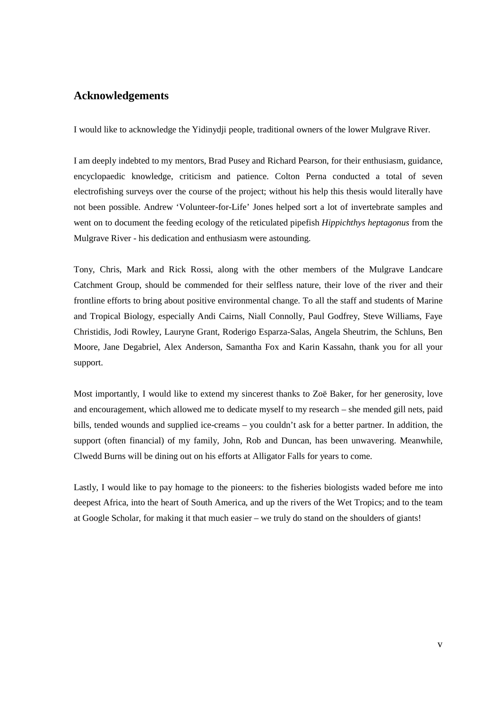#### **Acknowledgements**

I would like to acknowledge the Yidinydji people, traditional owners of the lower Mulgrave River.

I am deeply indebted to my mentors, Brad Pusey and Richard Pearson, for their enthusiasm, guidance, encyclopaedic knowledge, criticism and patience. Colton Perna conducted a total of seven electrofishing surveys over the course of the project; without his help this thesis would literally have not been possible. Andrew 'Volunteer-for-Life' Jones helped sort a lot of invertebrate samples and went on to document the feeding ecology of the reticulated pipefish *Hippichthys heptagonus* from the Mulgrave River - his dedication and enthusiasm were astounding.

Tony, Chris, Mark and Rick Rossi, along with the other members of the Mulgrave Landcare Catchment Group, should be commended for their selfless nature, their love of the river and their frontline efforts to bring about positive environmental change. To all the staff and students of Marine and Tropical Biology, especially Andi Cairns, Niall Connolly, Paul Godfrey, Steve Williams, Faye Christidis, Jodi Rowley, Lauryne Grant, Roderigo Esparza-Salas, Angela Sheutrim, the Schluns, Ben Moore, Jane Degabriel, Alex Anderson, Samantha Fox and Karin Kassahn, thank you for all your support.

Most importantly, I would like to extend my sincerest thanks to Zoë Baker, for her generosity, love and encouragement, which allowed me to dedicate myself to my research – she mended gill nets, paid bills, tended wounds and supplied ice-creams – you couldn't ask for a better partner. In addition, the support (often financial) of my family, John, Rob and Duncan, has been unwavering. Meanwhile, Clwedd Burns will be dining out on his efforts at Alligator Falls for years to come.

Lastly, I would like to pay homage to the pioneers: to the fisheries biologists waded before me into deepest Africa, into the heart of South America, and up the rivers of the Wet Tropics; and to the team at Google Scholar, for making it that much easier – we truly do stand on the shoulders of giants!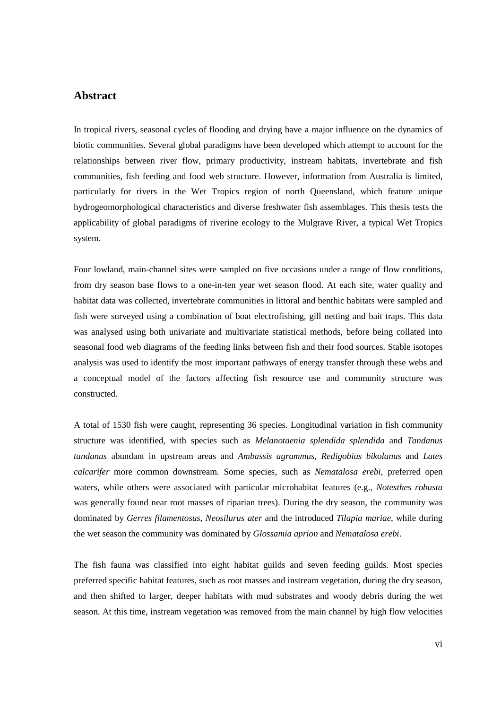#### **Abstract**

In tropical rivers, seasonal cycles of flooding and drying have a major influence on the dynamics of biotic communities. Several global paradigms have been developed which attempt to account for the relationships between river flow, primary productivity, instream habitats, invertebrate and fish communities, fish feeding and food web structure. However, information from Australia is limited, particularly for rivers in the Wet Tropics region of north Queensland, which feature unique hydrogeomorphological characteristics and diverse freshwater fish assemblages. This thesis tests the applicability of global paradigms of riverine ecology to the Mulgrave River, a typical Wet Tropics system.

Four lowland, main-channel sites were sampled on five occasions under a range of flow conditions, from dry season base flows to a one-in-ten year wet season flood. At each site, water quality and habitat data was collected, invertebrate communities in littoral and benthic habitats were sampled and fish were surveyed using a combination of boat electrofishing, gill netting and bait traps. This data was analysed using both univariate and multivariate statistical methods, before being collated into seasonal food web diagrams of the feeding links between fish and their food sources. Stable isotopes analysis was used to identify the most important pathways of energy transfer through these webs and a conceptual model of the factors affecting fish resource use and community structure was constructed.

A total of 1530 fish were caught, representing 36 species. Longitudinal variation in fish community structure was identified, with species such as *Melanotaenia splendida splendida* and *Tandanus tandanus* abundant in upstream areas and *Ambassis agrammus*, *Redigobius bikolanus* and *Lates calcarifer* more common downstream. Some species, such as *Nematalosa erebi*, preferred open waters, while others were associated with particular microhabitat features (e.g., *Notesthes robusta*  was generally found near root masses of riparian trees). During the dry season, the community was dominated by *Gerres filamentosus*, *Neosilurus ater* and the introduced *Tilapia mariae*, while during the wet season the community was dominated by *Glossamia aprion* and *Nematalosa erebi*.

The fish fauna was classified into eight habitat guilds and seven feeding guilds. Most species preferred specific habitat features, such as root masses and instream vegetation, during the dry season, and then shifted to larger, deeper habitats with mud substrates and woody debris during the wet season. At this time, instream vegetation was removed from the main channel by high flow velocities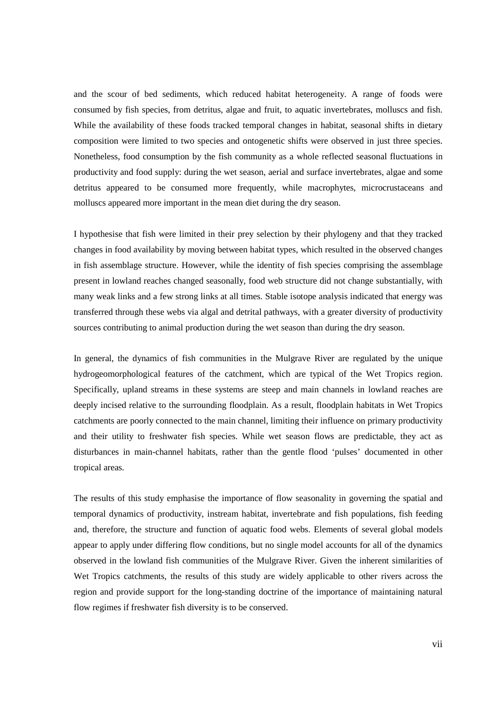and the scour of bed sediments, which reduced habitat heterogeneity. A range of foods were consumed by fish species, from detritus, algae and fruit, to aquatic invertebrates, molluscs and fish. While the availability of these foods tracked temporal changes in habitat, seasonal shifts in dietary composition were limited to two species and ontogenetic shifts were observed in just three species. Nonetheless, food consumption by the fish community as a whole reflected seasonal fluctuations in productivity and food supply: during the wet season, aerial and surface invertebrates, algae and some detritus appeared to be consumed more frequently, while macrophytes, microcrustaceans and molluscs appeared more important in the mean diet during the dry season.

I hypothesise that fish were limited in their prey selection by their phylogeny and that they tracked changes in food availability by moving between habitat types, which resulted in the observed changes in fish assemblage structure. However, while the identity of fish species comprising the assemblage present in lowland reaches changed seasonally, food web structure did not change substantially, with many weak links and a few strong links at all times. Stable isotope analysis indicated that energy was transferred through these webs via algal and detrital pathways, with a greater diversity of productivity sources contributing to animal production during the wet season than during the dry season.

In general, the dynamics of fish communities in the Mulgrave River are regulated by the unique hydrogeomorphological features of the catchment, which are typical of the Wet Tropics region. Specifically, upland streams in these systems are steep and main channels in lowland reaches are deeply incised relative to the surrounding floodplain. As a result, floodplain habitats in Wet Tropics catchments are poorly connected to the main channel, limiting their influence on primary productivity and their utility to freshwater fish species. While wet season flows are predictable, they act as disturbances in main-channel habitats, rather than the gentle flood 'pulses' documented in other tropical areas.

The results of this study emphasise the importance of flow seasonality in governing the spatial and temporal dynamics of productivity, instream habitat, invertebrate and fish populations, fish feeding and, therefore, the structure and function of aquatic food webs. Elements of several global models appear to apply under differing flow conditions, but no single model accounts for all of the dynamics observed in the lowland fish communities of the Mulgrave River. Given the inherent similarities of Wet Tropics catchments, the results of this study are widely applicable to other rivers across the region and provide support for the long-standing doctrine of the importance of maintaining natural flow regimes if freshwater fish diversity is to be conserved.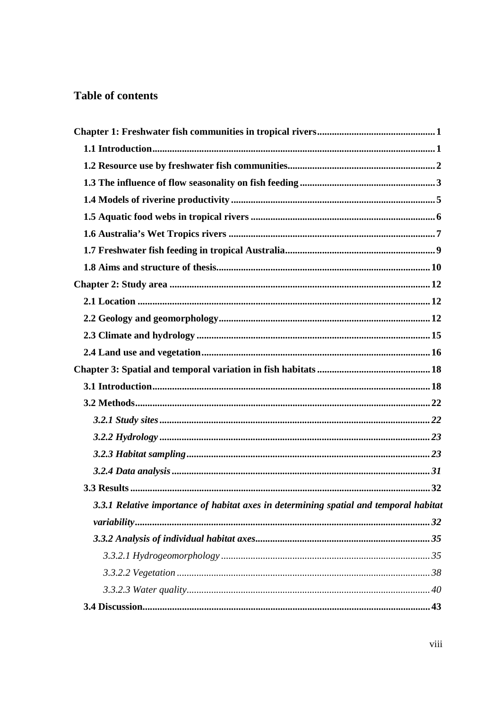## **Table of contents**

| 3.3.1 Relative importance of habitat axes in determining spatial and temporal habitat |  |
|---------------------------------------------------------------------------------------|--|
|                                                                                       |  |
|                                                                                       |  |
|                                                                                       |  |
|                                                                                       |  |
|                                                                                       |  |
|                                                                                       |  |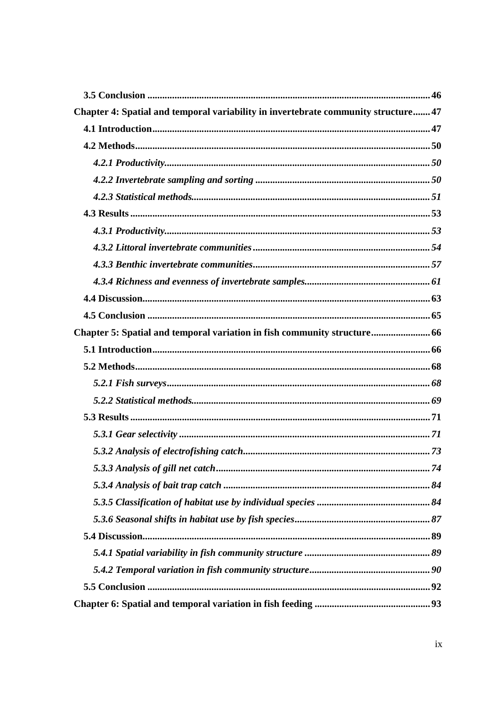| Chapter 4: Spatial and temporal variability in invertebrate community structure 47 |  |
|------------------------------------------------------------------------------------|--|
|                                                                                    |  |
|                                                                                    |  |
|                                                                                    |  |
|                                                                                    |  |
|                                                                                    |  |
|                                                                                    |  |
|                                                                                    |  |
|                                                                                    |  |
|                                                                                    |  |
|                                                                                    |  |
|                                                                                    |  |
|                                                                                    |  |
| Chapter 5: Spatial and temporal variation in fish community structure 66           |  |
|                                                                                    |  |
|                                                                                    |  |
|                                                                                    |  |
|                                                                                    |  |
|                                                                                    |  |
|                                                                                    |  |
|                                                                                    |  |
|                                                                                    |  |
|                                                                                    |  |
|                                                                                    |  |
|                                                                                    |  |
|                                                                                    |  |
|                                                                                    |  |
|                                                                                    |  |
|                                                                                    |  |
|                                                                                    |  |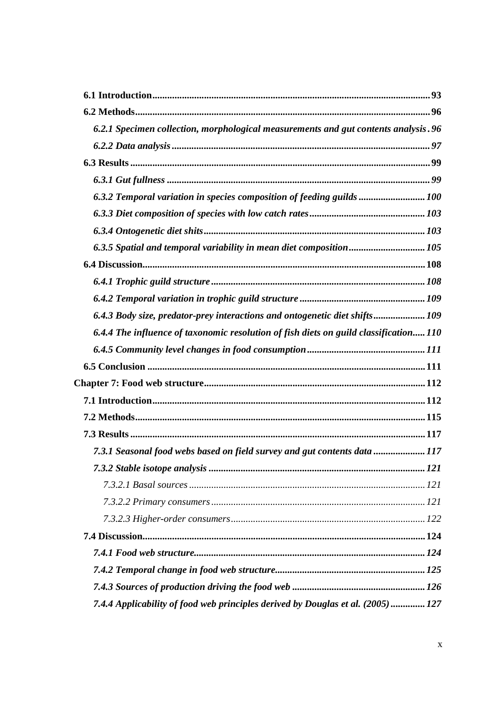| 6.2.1 Specimen collection, morphological measurements and gut contents analysis. 96   |  |
|---------------------------------------------------------------------------------------|--|
|                                                                                       |  |
|                                                                                       |  |
|                                                                                       |  |
| 6.3.2 Temporal variation in species composition of feeding guilds  100                |  |
|                                                                                       |  |
|                                                                                       |  |
| 6.3.5 Spatial and temporal variability in mean diet composition 105                   |  |
|                                                                                       |  |
|                                                                                       |  |
|                                                                                       |  |
| 6.4.3 Body size, predator-prey interactions and ontogenetic diet shifts 109           |  |
| 6.4.4 The influence of taxonomic resolution of fish diets on guild classification 110 |  |
|                                                                                       |  |
|                                                                                       |  |
|                                                                                       |  |
|                                                                                       |  |
|                                                                                       |  |
|                                                                                       |  |
| 7.3.1 Seasonal food webs based on field survey and gut contents data  117             |  |
|                                                                                       |  |
|                                                                                       |  |
|                                                                                       |  |
|                                                                                       |  |
|                                                                                       |  |
|                                                                                       |  |
|                                                                                       |  |
|                                                                                       |  |
| 7.4.4 Applicability of food web principles derived by Douglas et al. (2005) 127       |  |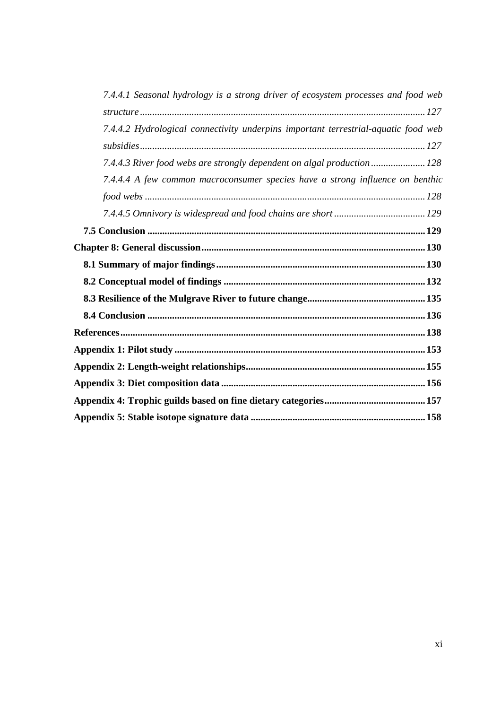| 7.4.4.1 Seasonal hydrology is a strong driver of ecosystem processes and food web  |
|------------------------------------------------------------------------------------|
|                                                                                    |
| 7.4.4.2 Hydrological connectivity underpins important terrestrial-aquatic food web |
|                                                                                    |
| 7.4.4.3 River food webs are strongly dependent on algal production 128             |
| 7.4.4.4 A few common macroconsumer species have a strong influence on benthic      |
|                                                                                    |
|                                                                                    |
|                                                                                    |
|                                                                                    |
|                                                                                    |
|                                                                                    |
|                                                                                    |
|                                                                                    |
|                                                                                    |
|                                                                                    |
|                                                                                    |
|                                                                                    |
|                                                                                    |
|                                                                                    |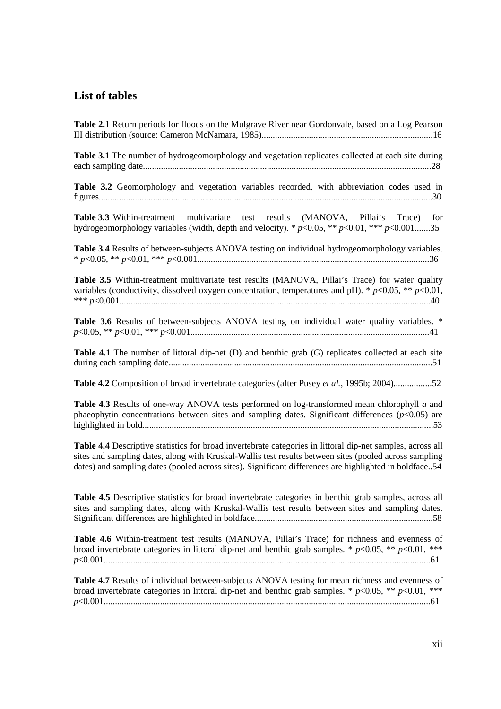## **List of tables**

| Table 2.1 Return periods for floods on the Mulgrave River near Gordonvale, based on a Log Pearson                                                                                                                                                                                                                              |
|--------------------------------------------------------------------------------------------------------------------------------------------------------------------------------------------------------------------------------------------------------------------------------------------------------------------------------|
| Table 3.1 The number of hydrogeomorphology and vegetation replicates collected at each site during                                                                                                                                                                                                                             |
| Table 3.2 Geomorphology and vegetation variables recorded, with abbreviation codes used in                                                                                                                                                                                                                                     |
| <b>Table 3.3</b> Within-treatment multivariate test results (MANOVA, Pillai's Trace) for<br>hydrogeomorphology variables (width, depth and velocity). * $p<0.05$ , ** $p<0.01$ , *** $p<0.001$ 35                                                                                                                              |
| Table 3.4 Results of between-subjects ANOVA testing on individual hydrogeomorphology variables.                                                                                                                                                                                                                                |
| Table 3.5 Within-treatment multivariate test results (MANOVA, Pillai's Trace) for water quality<br>variables (conductivity, dissolved oxygen concentration, temperatures and pH). * $p<0.05$ , ** $p<0.01$ ,                                                                                                                   |
| Table 3.6 Results of between-subjects ANOVA testing on individual water quality variables. *                                                                                                                                                                                                                                   |
| Table 4.1 The number of littoral dip-net (D) and benthic grab (G) replicates collected at each site                                                                                                                                                                                                                            |
| Table 4.2 Composition of broad invertebrate categories (after Pusey et al., 1995b; 2004)52                                                                                                                                                                                                                                     |
| Table 4.3 Results of one-way ANOVA tests performed on log-transformed mean chlorophyll a and<br>phaeophytin concentrations between sites and sampling dates. Significant differences $(p<0.05)$ are                                                                                                                            |
| Table 4.4 Descriptive statistics for broad invertebrate categories in littoral dip-net samples, across all<br>sites and sampling dates, along with Kruskal-Wallis test results between sites (pooled across sampling<br>dates) and sampling dates (pooled across sites). Significant differences are highlighted in boldface54 |
| Table 4.5 Descriptive statistics for broad invertebrate categories in benthic grab samples, across all<br>sites and sampling dates, along with Kruskal-Wallis test results between sites and sampling dates.                                                                                                                   |
| Table 4.6 Within-treatment test results (MANOVA, Pillai's Trace) for richness and evenness of<br>broad invertebrate categories in littoral dip-net and benthic grab samples. * $p<0.05$ , ** $p<0.01$ , ***                                                                                                                    |
| Table 4.7 Results of individual between-subjects ANOVA testing for mean richness and evenness of<br>broad invertebrate categories in littoral dip-net and benthic grab samples. * $p<0.05$ , ** $p<0.01$ , ***                                                                                                                 |

*p*<0.001.................................................................................................................................................61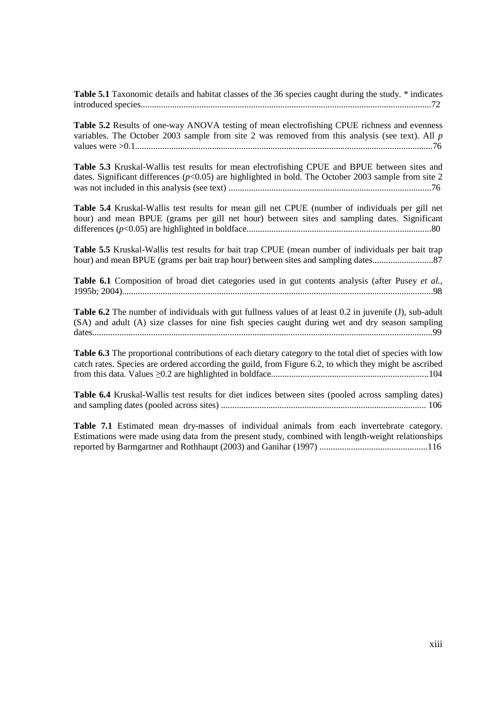**Table 5.1** Taxonomic details and habitat classes of the 36 species caught during the study. \* indicates introduced species.................................................................................................................................72

**Table 5.2** Results of one-way ANOVA testing of mean electrofishing CPUE richness and evenness variables. The October 2003 sample from site 2 was removed from this analysis (see text). All *p* values were >0.1....................................................................................................................................76

**Table 5.3** Kruskal-Wallis test results for mean electrofishing CPUE and BPUE between sites and dates. Significant differences ( $p$ <0.05) are highlighted in bold. The October 2003 sample from site 2 was not included in this analysis (see text) ..........................................................................................76

**Table 5.4** Kruskal-Wallis test results for mean gill net CPUE (number of individuals per gill net hour) and mean BPUE (grams per gill net hour) between sites and sampling dates. Significant differences (*p*<0.05) are highlighted in boldface..................................................................................80

**Table 5.5** Kruskal-Wallis test results for bait trap CPUE (mean number of individuals per bait trap hour) and mean BPUE (grams per bait trap hour) between sites and sampling dates...........................87

**Table 6.1** Composition of broad diet categories used in gut contents analysis (after Pusey *et al.*, 1995b; 2004)..........................................................................................................................................98

**Table 6.2** The number of individuals with gut fullness values of at least 0.2 in juvenile (J), sub-adult (SA) and adult (A) size classes for nine fish species caught during wet and dry season sampling dates.......................................................................................................................................................99

**Table 6.3** The proportional contributions of each dietary category to the total diet of species with low catch rates. Species are ordered according the guild, from Figure 6.2, to which they might be ascribed from this data. Values ≥0.2 are highlighted in boldface......................................................................104

**Table 6.4** Kruskal-Wallis test results for diet indices between sites (pooled across sampling dates) and sampling dates (pooled across sites) ........................................................................................... 106

**Table 7.1** Estimated mean dry-masses of individual animals from each invertebrate category. Estimations were made using data from the present study, combined with length-weight relationships reported by Barmgartner and Rothhaupt (2003) and Ganihar (1997) ................................................116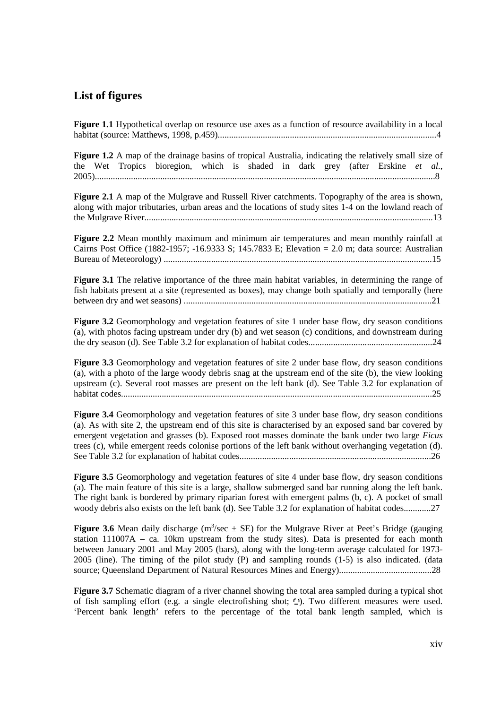#### **List of figures**

**Figure 1.1** Hypothetical overlap on resource use axes as a function of resource availability in a local habitat (source: Matthews, 1998, p.459).................................................................................................4

**Figure 1.2** A map of the drainage basins of tropical Australia, indicating the relatively small size of the Wet Tropics bioregion, which is shaded in dark grey (after Erskine *et al*., 2005).......................................................................................................................................................8

**Figure 2.1** A map of the Mulgrave and Russell River catchments. Topography of the area is shown, along with major tributaries, urban areas and the locations of study sites 1-4 on the lowland reach of the Mulgrave River................................................................................................................................13

**Figure 2.2** Mean monthly maximum and minimum air temperatures and mean monthly rainfall at Cairns Post Office (1882-1957; -16.9333 S; 145.7833 E; Elevation = 2.0 m; data source: Australian Bureau of Meteorology) .......................................................................................................................15

**Figure 3.1** The relative importance of the three main habitat variables, in determining the range of fish habitats present at a site (represented as boxes), may change both spatially and temporally (here between dry and wet seasons) ..............................................................................................................21

**Figure 3.2** Geomorphology and vegetation features of site 1 under base flow, dry season conditions (a), with photos facing upstream under dry (b) and wet season (c) conditions, and downstream during the dry season (d). See Table 3.2 for explanation of habitat codes.......................................................24

**Figure 3.3** Geomorphology and vegetation features of site 2 under base flow, dry season conditions (a), with a photo of the large woody debris snag at the upstream end of the site (b), the view looking upstream (c). Several root masses are present on the left bank (d). See Table 3.2 for explanation of habitat codes..........................................................................................................................................25

**Figure 3.4** Geomorphology and vegetation features of site 3 under base flow, dry season conditions (a). As with site 2, the upstream end of this site is characterised by an exposed sand bar covered by emergent vegetation and grasses (b). Exposed root masses dominate the bank under two large *Ficus*  trees (c), while emergent reeds colonise portions of the left bank without overhanging vegetation (d). See Table 3.2 for explanation of habitat codes.....................................................................................26

**Figure 3.5** Geomorphology and vegetation features of site 4 under base flow, dry season conditions (a). The main feature of this site is a large, shallow submerged sand bar running along the left bank. The right bank is bordered by primary riparian forest with emergent palms (b, c). A pocket of small woody debris also exists on the left bank (d). See Table 3.2 for explanation of habitat codes............27

**Figure 3.6** Mean daily discharge ( $m^3$ /sec  $\pm$  SE) for the Mulgrave River at Peet's Bridge (gauging station 111007A – ca. 10km upstream from the study sites). Data is presented for each month between January 2001 and May 2005 (bars), along with the long-term average calculated for 1973- 2005 (line). The timing of the pilot study (P) and sampling rounds (1-5) is also indicated. (data source; Queensland Department of Natural Resources Mines and Energy).........................................28

**Figure 3.7** Schematic diagram of a river channel showing the total area sampled during a typical shot of fish sampling effort (e.g. a single electrofishing shot;  $\square$ ). Two different measures were used. 'Percent bank length' refers to the percentage of the total bank length sampled, which is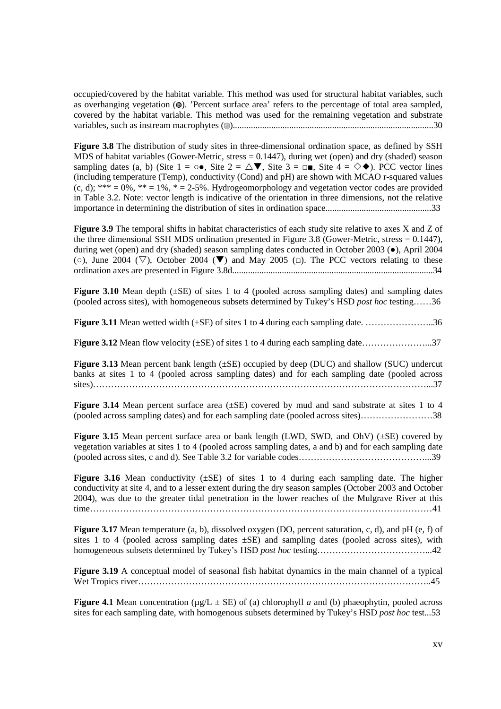occupied/covered by the habitat variable. This method was used for structural habitat variables, such as overhanging vegetation ( $\circledast$ ). 'Percent surface area' refers to the percentage of total area sampled, covered by the habitat variable. This method was used for the remaining vegetation and substrate variables, such as instream macrophytes ( ).........................................................................................30

**Figure 3.8** The distribution of study sites in three-dimensional ordination space, as defined by SSH MDS of habitat variables (Gower-Metric, stress  $= 0.1447$ ), during wet (open) and dry (shaded) season sampling dates (a, b) (Site  $1 = \circ \bullet$ , Site  $2 = \triangle \blacktriangledown$ , Site  $3 = \square \square$ , Site  $4 = \diamond \blacklozenge$ ). PCC vector lines (including temperature (Temp), conductivity (Cond) and pH) are shown with MCAO r-squared values  $(c, d)$ ; \*\*\* = 0%, \*\* = 1%, \* = 2-5%. Hydrogeomorphology and vegetation vector codes are provided in Table 3.2. Note: vector length is indicative of the orientation in three dimensions, not the relative importance in determining the distribution of sites in ordination space...............................................33

**Figure 3.9** The temporal shifts in habitat characteristics of each study site relative to axes X and Z of the three dimensional SSH MDS ordination presented in Figure 3.8 (Gower-Metric, stress = 0.1447), during wet (open) and dry (shaded) season sampling dates conducted in October 2003 (●), April 2004 ( $\circ$ ), June 2004 ( $\nabla$ ), October 2004 ( $\nabla$ ) and May 2005 ( $\Box$ ). The PCC vectors relating to these ordination axes are presented in Figure 3.8d.........................................................................................34

**Figure 3.10** Mean depth ( $\pm$ SE) of sites 1 to 4 (pooled across sampling dates) and sampling dates (pooled across sites), with homogeneous subsets determined by Tukey's HSD *post hoc* testing……36

**Figure 3.11** Mean wetted width (±SE) of sites 1 to 4 during each sampling date. …………………..36

**Figure 3.12** Mean flow velocity (±SE) of sites 1 to 4 during each sampling date…………………...37

**Figure 3.13** Mean percent bank length (±SE) occupied by deep (DUC) and shallow (SUC) undercut banks at sites 1 to 4 (pooled across sampling dates) and for each sampling date (pooled across sites)…………………………………………………………………………………………………...37

Figure 3.14 Mean percent surface area ( $\pm$ SE) covered by mud and sand substrate at sites 1 to 4 (pooled across sampling dates) and for each sampling date (pooled across sites)……………………38

**Figure 3.15** Mean percent surface area or bank length (LWD, SWD, and OhV) ( $\pm$ SE) covered by vegetation variables at sites 1 to 4 (pooled across sampling dates, a and b) and for each sampling date (pooled across sites, c and d). See Table 3.2 for variable codes……………………………………...39

**Figure 3.16** Mean conductivity (±SE) of sites 1 to 4 during each sampling date. The higher conductivity at site 4, and to a lesser extent during the dry season samples (October 2003 and October 2004), was due to the greater tidal penetration in the lower reaches of the Mulgrave River at this time……………………………………………………………………………………………………41

**Figure 3.17** Mean temperature (a, b), dissolved oxygen (DO, percent saturation, c, d), and pH (e, f) of sites 1 to 4 (pooled across sampling dates  $\pm$ SE) and sampling dates (pooled across sites), with homogeneous subsets determined by Tukey's HSD *post hoc* testing………………………………...42

**Figure 3.19** A conceptual model of seasonal fish habitat dynamics in the main channel of a typical Wet Tropics river……………………………………………………………………………………..45

**Figure 4.1** Mean concentration ( $\mu$ g/L  $\pm$  SE) of (a) chlorophyll *a* and (b) phaeophytin, pooled across sites for each sampling date, with homogenous subsets determined by Tukey's HSD *post hoc* test...53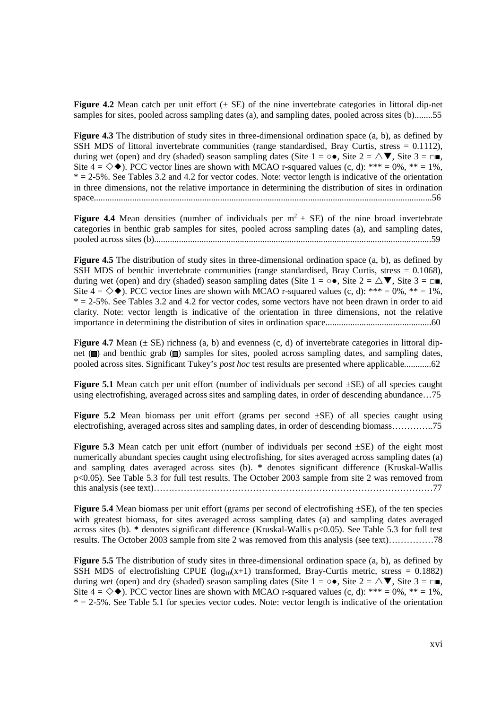**Figure 4.2** Mean catch per unit effort  $(\pm \text{ SE})$  of the nine invertebrate categories in littoral dip-net samples for sites, pooled across sampling dates (a), and sampling dates, pooled across sites (b).........55

**Figure 4.3** The distribution of study sites in three-dimensional ordination space (a, b), as defined by SSH MDS of littoral invertebrate communities (range standardised, Bray Curtis, stress = 0.1112), during wet (open) and dry (shaded) season sampling dates (Site  $1 = \circ \bullet$ , Site  $2 = \triangle \blacktriangledown$ , Site  $3 = \square \blacktriangledown$ , Site  $4 = \diamondsuit \blacklozenge$ ). PCC vector lines are shown with MCAO r-squared values (c, d): \*\*\* = 0%, \*\* = 1%,  $* = 2-5\%$ . See Tables 3.2 and 4.2 for vector codes. Note: vector length is indicative of the orientation in three dimensions, not the relative importance in determining the distribution of sites in ordination space......................................................................................................................................................56

**Figure 4.4** Mean densities (number of individuals per  $m^2 \pm SE$ ) of the nine broad invertebrate categories in benthic grab samples for sites, pooled across sampling dates (a), and sampling dates, pooled across sites (b)...........................................................................................................................59

**Figure 4.5** The distribution of study sites in three-dimensional ordination space (a, b), as defined by SSH MDS of benthic invertebrate communities (range standardised, Bray Curtis, stress = 0.1068), during wet (open) and dry (shaded) season sampling dates (Site  $1 = \circ \bullet$ , Site  $2 = \triangle \blacktriangledown$ , Site  $3 = \square \blacktriangledown$ , Site  $4 = \diamondsuit \blacklozenge$ ). PCC vector lines are shown with MCAO r-squared values (c, d): \*\*\* = 0%, \*\* = 1%,  $* = 2-5\%$ . See Tables 3.2 and 4.2 for vector codes, some vectors have not been drawn in order to aid clarity. Note: vector length is indicative of the orientation in three dimensions, not the relative importance in determining the distribution of sites in ordination space...............................................60

**Figure 4.7** Mean  $(\pm \text{SE})$  richness  $(a, b)$  and evenness  $(c, d)$  of invertebrate categories in littoral dipnet ( $\Box$ ) and benthic grab ( $\Box$ ) samples for sites, pooled across sampling dates, and sampling dates, pooled across sites. Significant Tukey's *post hoc* test results are presented where applicable............62

**Figure 5.1** Mean catch per unit effort (number of individuals per second  $\pm$ SE) of all species caught using electrofishing, averaged across sites and sampling dates, in order of descending abundance…75

**Figure 5.2** Mean biomass per unit effort (grams per second  $\pm$ SE) of all species caught using electrofishing, averaged across sites and sampling dates, in order of descending biomass…………..75

**Figure 5.3** Mean catch per unit effort (number of individuals per second ±SE) of the eight most numerically abundant species caught using electrofishing, for sites averaged across sampling dates (a) and sampling dates averaged across sites (b). **\*** denotes significant difference (Kruskal-Wallis p<0.05). See Table 5.3 for full test results. The October 2003 sample from site 2 was removed from this analysis (see text)…………………………………………………………………………………77

**Figure 5.4** Mean biomass per unit effort (grams per second of electrofishing ±SE), of the ten species with greatest biomass, for sites averaged across sampling dates (a) and sampling dates averaged across sites (b). **\*** denotes significant difference (Kruskal-Wallis p<0.05). See Table 5.3 for full test results. The October 2003 sample from site 2 was removed from this analysis (see text)……………78

**Figure 5.5** The distribution of study sites in three-dimensional ordination space (a, b), as defined by SSH MDS of electrofishing CPUE ( $log_{10}(x+1)$  transformed, Bray-Curtis metric, stress = 0.1882) during wet (open) and dry (shaded) season sampling dates (Site  $1 = \circ \bullet$ , Site  $2 = \triangle \blacktriangledown$ , Site  $3 = \square \blacktriangledown$ , Site  $4 = \diamondsuit \blacklozenge$ ). PCC vector lines are shown with MCAO r-squared values (c, d): \*\*\* = 0%, \*\* = 1%,  $* = 2-5\%$ . See Table 5.1 for species vector codes. Note: vector length is indicative of the orientation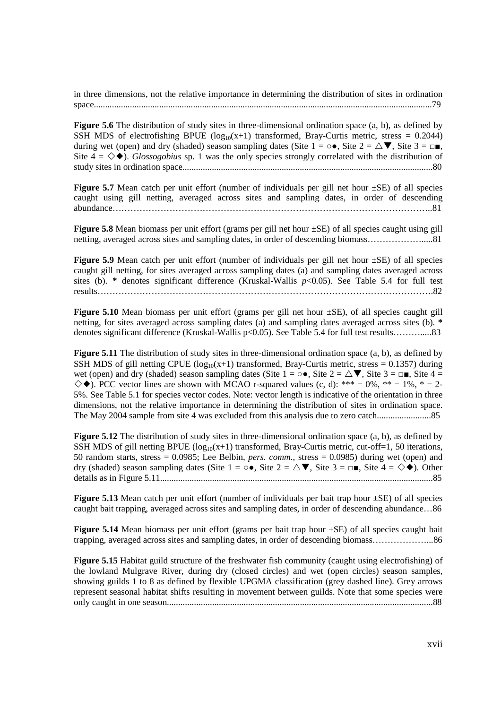in three dimensions, not the relative importance in determining the distribution of sites in ordination space......................................................................................................................................................79

**Figure 5.6** The distribution of study sites in three-dimensional ordination space (a, b), as defined by SSH MDS of electrofishing BPUE ( $log_{10}(x+1)$  transformed, Bray-Curtis metric, stress = 0.2044) during wet (open) and dry (shaded) season sampling dates (Site  $1 = \circ \bullet$ , Site  $2 = \triangle \blacktriangledown$ , Site  $3 = \square \blacktriangledown$ , Site  $4 = \diamondsuit \blacklozenge$ . *Glossogobius* sp. 1 was the only species strongly correlated with the distribution of study sites in ordination space...............................................................................................................80

**Figure 5.7** Mean catch per unit effort (number of individuals per gill net hour  $\pm$ SE) of all species caught using gill netting, averaged across sites and sampling dates, in order of descending abundance……………………………………………………………………………………………..81

**Figure 5.8** Mean biomass per unit effort (grams per gill net hour ±SE) of all species caught using gill netting, averaged across sites and sampling dates, in order of descending biomass……………….....81

**Figure 5.9** Mean catch per unit effort (number of individuals per gill net hour  $\pm$ SE) of all species caught gill netting, for sites averaged across sampling dates (a) and sampling dates averaged across sites (b). **\*** denotes significant difference (Kruskal-Wallis *p*<0.05). See Table 5.4 for full test results………………………………………………………………………………………………….82

**Figure 5.10** Mean biomass per unit effort (grams per gill net hour  $\pm$ SE), of all species caught gill netting, for sites averaged across sampling dates (a) and sampling dates averaged across sites (b). **\*** denotes significant difference (Kruskal-Wallis p<0.05). See Table 5.4 for full test results……….....83

**Figure 5.11** The distribution of study sites in three-dimensional ordination space (a, b), as defined by SSH MDS of gill netting CPUE ( $log_{10}(x+1)$ ) transformed, Bray-Curtis metric, stress = 0.1357) during wet (open) and dry (shaded) season sampling dates (Site  $1 = \circ \bullet$ , Site  $2 = \triangle \blacktriangledown$ , Site  $3 = \square \blacktriangleright$ , Site  $4 = \square$  $\diamondsuit$ . PCC vector lines are shown with MCAO r-squared values (c, d): \*\*\* = 0%, \*\* = 1%, \* = 2-5%. See Table 5.1 for species vector codes. Note: vector length is indicative of the orientation in three dimensions, not the relative importance in determining the distribution of sites in ordination space. The May 2004 sample from site 4 was excluded from this analysis due to zero catch........................85

**Figure 5.12** The distribution of study sites in three-dimensional ordination space (a, b), as defined by SSH MDS of gill netting BPUE  $(log_{10}(x+1)$  transformed, Bray-Curtis metric, cut-off=1, 50 iterations, 50 random starts, stress = 0.0985; Lee Belbin, *pers. comm.,* stress = 0.0985) during wet (open) and dry (shaded) season sampling dates (Site  $1 = \circ \bullet$ , Site  $2 = \triangle \blacktriangledown$ , Site  $3 = \square \blacktriangledown$ , Site  $4 = \diamond \blacklozenge$ ). Other details as in Figure 5.11.........................................................................................................................85

**Figure 5.13** Mean catch per unit effort (number of individuals per bait trap hour ±SE) of all species caught bait trapping, averaged across sites and sampling dates, in order of descending abundance…86

**Figure 5.14** Mean biomass per unit effort (grams per bait trap hour  $\pm$ SE) of all species caught bait trapping, averaged across sites and sampling dates, in order of descending biomass………………...86

**Figure 5.15** Habitat guild structure of the freshwater fish community (caught using electrofishing) of the lowland Mulgrave River, during dry (closed circles) and wet (open circles) season samples, showing guilds 1 to 8 as defined by flexible UPGMA classification (grey dashed line). Grey arrows represent seasonal habitat shifts resulting in movement between guilds. Note that some species were only caught in one season......................................................................................................................88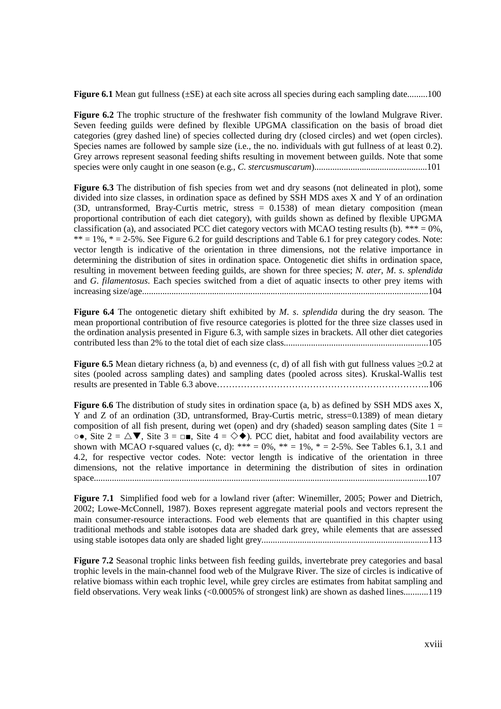**Figure 6.1** Mean gut fullness ( $\pm$ SE) at each site across all species during each sampling date.........100

**Figure 6.2** The trophic structure of the freshwater fish community of the lowland Mulgrave River. Seven feeding guilds were defined by flexible UPGMA classification on the basis of broad diet categories (grey dashed line) of species collected during dry (closed circles) and wet (open circles). Species names are followed by sample size (i.e., the no. individuals with gut fullness of at least 0.2). Grey arrows represent seasonal feeding shifts resulting in movement between guilds. Note that some species were only caught in one season (e.g., *C*. *stercusmuscarum*)..................................................101

**Figure 6.3** The distribution of fish species from wet and dry seasons (not delineated in plot), some divided into size classes, in ordination space as defined by SSH MDS axes X and Y of an ordination (3D, untransformed, Bray-Curtis metric, stress = 0.1538) of mean dietary composition (mean proportional contribution of each diet category), with guilds shown as defined by flexible UPGMA classification (a), and associated PCC diet category vectors with MCAO testing results (b). \*\*\* =  $0\%$ .  $** = 1\%$ ,  $* = 2-5\%$ . See Figure 6.2 for guild descriptions and Table 6.1 for prey category codes. Note: vector length is indicative of the orientation in three dimensions, not the relative importance in determining the distribution of sites in ordination space. Ontogenetic diet shifts in ordination space, resulting in movement between feeding guilds, are shown for three species; *N*. *ater*, *M*. *s*. *splendida* and *G*. *filamentosus*. Each species switched from a diet of aquatic insects to other prey items with increasing size/age...............................................................................................................................104

**Figure 6.4** The ontogenetic dietary shift exhibited by *M*. *s*. *splendida* during the dry season. The mean proportional contribution of five resource categories is plotted for the three size classes used in the ordination analysis presented in Figure 6.3, with sample sizes in brackets. All other diet categories contributed less than 2% to the total diet of each size class................................................................105

**Figure 6.5** Mean dietary richness (a, b) and evenness (c, d) of all fish with gut fullness values ≥0.2 at sites (pooled across sampling dates) and sampling dates (pooled across sites). Kruskal-Wallis test results are presented in Table 6.3 above……………………………………………………………..106

**Figure 6.6** The distribution of study sites in ordination space (a, b) as defined by SSH MDS axes X, Y and Z of an ordination (3D, untransformed, Bray-Curtis metric, stress=0.1389) of mean dietary composition of all fish present, during wet (open) and dry (shaded) season sampling dates (Site  $1 =$  $\circ \bullet$ , Site  $2 = \triangle \blacktriangledown$ , Site  $3 = \square \blacktriangleright$ , Site  $4 = \diamond \blacklozenge$ ). PCC diet, habitat and food availability vectors are shown with MCAO r-squared values (c, d): \*\*\* = 0%, \*\* = 1%, \* = 2-5%. See Tables 6.1, 3.1 and 4.2, for respective vector codes. Note: vector length is indicative of the orientation in three dimensions, not the relative importance in determining the distribution of sites in ordination space....................................................................................................................................................107

**Figure 7.1** Simplified food web for a lowland river (after: Winemiller, 2005; Power and Dietrich, 2002; Lowe-McConnell, 1987). Boxes represent aggregate material pools and vectors represent the main consumer-resource interactions. Food web elements that are quantified in this chapter using traditional methods and stable isotopes data are shaded dark grey, while elements that are assessed using stable isotopes data only are shaded light grey..........................................................................113

**Figure 7.2** Seasonal trophic links between fish feeding guilds, invertebrate prey categories and basal trophic levels in the main-channel food web of the Mulgrave River. The size of circles is indicative of relative biomass within each trophic level, while grey circles are estimates from habitat sampling and field observations. Very weak links (<0.0005% of strongest link) are shown as dashed lines...........119